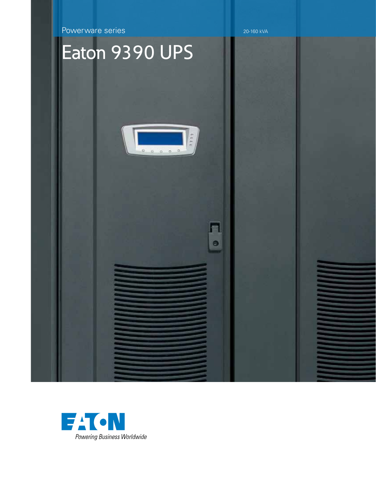Powerware series 20-160 kVA

# Eaton 9390 UPS



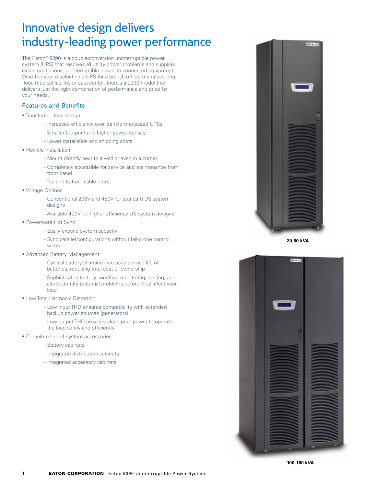### Innovative design delivers industry-leading power performance

The Eaton® 9390 is a double-conversion uninterruptible power system (UPS) that resolves all utility power problems and supplies clean, continuous, uninterruptible power to connected equipment. Whether you're selecting a UPS for a branch office, manufacturing floor, medical facility, or data center, there's a 9390 model that delivers just the right combination of performance and price for your needs.

#### Features and Benefits

- Transformer-less design
	- Increased efficiency over transformer-based UPSs
	- Smaller footprint and higher power density
	- Lower installation and shipping costs
- Flexible Installation
	- Mount directly next to a wall or even in a corner.
	- Completely accessible for service and maintenance from front panel
	- Top and bottom cable entry
- Voltage Options
	- Conventional 208V and 480V for standard US system designs
	- Available 400V for higher efficiency US system designs
- Powerware Hot Sync
	- Easily expand system capacity
	- Sync parallel configurations without fail-prone control wires
- Advanced Battery Management
	- Cyclical battery charging increases service life of batteries, reducing total cost of ownership
	- Sophisticated battery condition monitoring, testing, and alerts identify potential problems before they affect your load
- Low Total Harmonic Distortion
	- Low input THD ensures compatibility with extended backup power sources (generators).
	- Low output THD provides clean pure power to operate the load safely and efficiently
- Complete line of system accessories
	- Battery cabinets
	- Integrated distribution cabinets
	- Integrated accessory cabinets



**20-80 kVA**

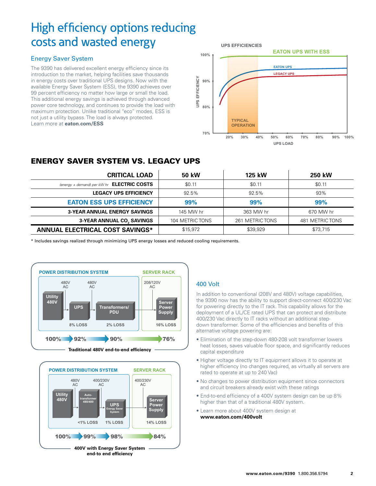## High efficiency options reducing costs and wasted energy

#### Energy Saver System

The 9390 has delivered excellent energy efficiency since its introduction to the market, helping facilities save thousands in energy costs over traditional UPS designs. Now with the available Energy Saver System (ESS), the 9390 achieves over 99 percent efficiency no matter how large or small the load. This additional energy savings is achieved through advanced power core technology, and continues to provide the load with maximum protection. Unlike traditional "eco" modes, ESS is not just a utility bypass. The load is always protected. Learn more at **eaton.com/ESS**



### Energy Saver System vs. Legacy UPS

| <b>CRITICAL LOAD</b>                                | 50 kW           | 125 kW          | <b>250 kW</b>   |
|-----------------------------------------------------|-----------------|-----------------|-----------------|
| (energy + demand) per $kW$ hr <b>ELECTRIC COSTS</b> | \$0.11          | \$0.11          | \$0.11          |
| <b>LEGACY UPS EFFICIENCY</b>                        | 92.5%           | 92.5%           | 93%             |
| <b>EATON ESS UPS EFFICIENCY</b>                     | 99%             | 99%             | 99%             |
| <b>3-YEAR ANNUAL ENERGY SAVINGS</b>                 | 145 MW hr       | 363 MW hr       | 670 MW hr       |
| 3-YEAR ANNUAL CO, SAVINGS                           | 104 METRIC TONS | 261 METRIC TONS | 481 METRIC TONS |
| ANNUAL ELECTRICAL COST SAVINGS*                     | \$15,972        | \$39,929        | \$73,715        |

\* Includes savings realized through minimizing UPS energy losses and reduced cooling requirements.





#### 400 Volt

In addition to conventional (208V and 480V) voltage capabilities, the 9390 now has the ability to support direct-connect 400/230 Vac for powering directly to the IT rack. This capability allows for the deployment of a UL/CE rated UPS that can protect and distribute 400/230 Vac directly to IT racks without an additional stepdown transformer. Some of the efficiencies and benefits of this alternative voltage powering are:

- Elimination of the step-down 480-208 volt transformer lowers heat losses, saves valuable floor space, and significantly reduces capital expenditure
- Higher voltage directly to IT equipment allows it to operate at higher efficiency (no changes required, as virtually all servers are rated to operate at up to 240 Vac)
- No changes to power distribution equipment since connectors and circuit breakers already exist with these ratings
- End-to-end efficiency of a 400V system design can be up 8% higher than that of a traditional 480V system.
- Learn more about 400V system design at **www.eaton.com/400volt**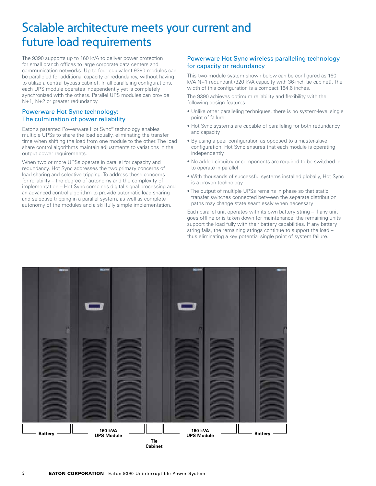### Scalable architecture meets your current and future load requirements

The 9390 supports up to 160 kVA to deliver power protection for small branch offices to large corporate data centers and communication networks. Up to four equivalent 9390 modules can be paralleled for additional capacity or redundancy, without having to utilize a central bypass cabinet. In all paralleling configurations, each UPS module operates independently yet is completely synchronized with the others. Parallel UPS modules can provide N+1, N+2 or greater redundancy.

#### Powerware Hot Sync technology: The culmination of power reliability

Eaton's patented Powerware Hot Sync® technology enables multiple UPSs to share the load equally, eliminating the transfer time when shifting the load from one module to the other. The load share control algorithms maintain adjustments to variations in the output power requirements.

When two or more UPSs operate in parallel for capacity and redundancy, Hot Sync addresses the two primary concerns of load sharing and selective tripping. To address these concerns for reliability – the degree of autonomy and the complexity of implementation – Hot Sync combines digital signal processing and an advanced control algorithm to provide automatic load sharing and selective tripping in a parallel system, as well as complete autonomy of the modules and a skillfully simple implementation.

#### Powerware Hot Sync wireless paralleling technology for capacity or redundancy

This two-module system shown below can be configured as 160 kVA N+1 redundant (320 kVA capacity with 36-inch tie cabinet). The width of this configuration is a compact 164.6 inches.

The 9390 achieves optimum reliability and flexibility with the following design features:

- Unlike other paralleling techniques, there is no system-level single point of failure
- Hot Sync systems are capable of paralleling for both redundancy and capacity
- By using a peer configuration as opposed to a master-slave configuration, Hot Sync ensures that each module is operating independently
- No added circuitry or components are required to be switched in to operate in parallel
- With thousands of successful systems installed globally, Hot Sync is a proven technology
- The output of multiple UPSs remains in phase so that static transfer switches connected between the separate distribution paths may change state seamlessly when necessary

Each parallel unit operates with its own battery string – if any unit goes offline or is taken down for maintenance, the remaining units support the load fully with their battery capabilities. If any battery string fails, the remaining strings continue to support the load – thus eliminating a key potential single point of system failure.

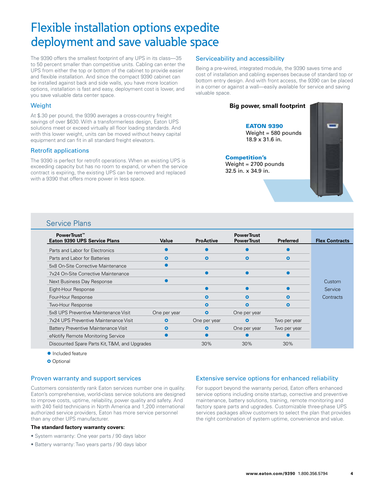### Flexible installation options expedite deployment and save valuable space

The 9390 offers the smallest footprint of any UPS in its class—35 to 50 percent smaller than competitive units. Cabling can enter the UPS from either the top or bottom of the cabinet to provide easier and flexible installation. And since the compact 9390 cabinet can be installed against back and side walls, you have more location options, installation is fast and easy, deployment cost is lower, and you save valuable data center space.

#### **Weight**

At \$.30 per pound, the 9390 averages a cross-country freight savings of over \$630. With a transformerless design, Eaton UPS solutions meet or exceed virtually all floor loading standards. And with this lower weight, units can be moved without heavy capital equipment and can fit in all standard freight elevators.

#### Retrofit applications

The 9390 is perfect for retrofit operations. When an existing UPS is exceeding capacity but has no room to expand, or when the service contract is expiring, the existing UPS can be removed and replaced with a 9390 that offers more power in less space.

#### Serviceability and accessibility

Being a pre-wired, integrated module, the 9390 saves time and cost of installation and cabling expenses because of standard top or bottom entry design. And with front access, the 9390 can be placed in a corner or against a wall—easily available for service and saving valuable space.

#### **Big power, small footprint**

**EATON 9390** Weight = 580 pounds 18.9 x 31.6 in.

#### Competition's

Weight = 2700 pounds 32.5 in. x 34.9 in.



#### Service Plans

| PowerTrust™<br><b>Eaton 9390 UPS Service Plans</b> | Value        | <b>ProActive</b> | <b>PowerTrust</b><br><b>PowerTrust</b> | <b>Preferred</b> | <b>Flex Contracts</b> |
|----------------------------------------------------|--------------|------------------|----------------------------------------|------------------|-----------------------|
| Parts and Labor for Electronics                    |              |                  |                                        |                  |                       |
| Parts and Labor for Batteries                      | Ο            | $\bullet$        | O                                      | O                |                       |
| 5x8 On-Site Corrective Maintenance                 |              |                  |                                        |                  |                       |
| 7x24 On-Site Corrective Maintenance                |              |                  |                                        |                  |                       |
| Next Business Day Response                         |              |                  |                                        |                  | <b>Custom</b>         |
| Eight-Hour Response                                |              |                  |                                        |                  | Service               |
| Four-Hour Response                                 |              | $\mathbf o$      | ο                                      | О                | Contracts             |
| Two-Hour Response                                  |              | $\mathbf{o}$     | Ο                                      | Ο                |                       |
| 5x8 UPS Preventive Maintenance Visit               | One per year | $\mathbf{o}$     | One per year                           |                  |                       |
| 7x24 UPS Preventive Maintenance Visit              | $\mathbf{o}$ | One per year     | Ο                                      | Two per year     |                       |
| Battery Preventive Maintenance Visit               | O            | $\mathbf{o}$     | One per year                           | Two per year     |                       |
| eNotify Remote Monitoring Service                  |              |                  |                                        |                  |                       |
| Discounted Spare Parts Kit, T&M, and Upgrades      |              | 30%              | 30%                                    | $30\%$           |                       |

- Included feature
- **o** Optional

#### Proven warranty and support services

Customers consistently rank Eaton services number one in quality. Eaton's comprehensive, world-class service solutions are designed to improve costs, uptime, reliability, power quality and safety. And with 240 field technicians in North America and 1,200 international authorized service providers, Eaton has more service personnel than any other UPS manufacturer.

#### **The standard factory warranty covers:**

- System warranty: One year parts / 90 days labor
- Battery warranty: Two years parts / 90 days labor

#### Extensive service options for enhanced reliability

For support beyond the warranty period, Eaton offers enhanced service options including onsite startup, corrective and preventive maintenance, battery solutions, training, remote monitoring and factory spare parts and upgrades. Customizable three-phase UPS services packages allow customers to select the plan that provides the right combination of system uptime, convenience and value.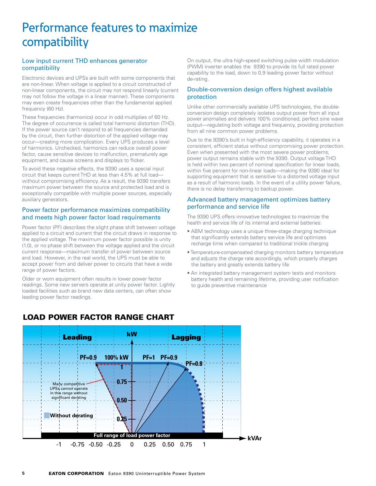### Performance features to maximize compatibility

#### Low input current THD enhances generator compatibility

Electronic devices and UPSs are built with some components that are non-linear. When voltage is applied to a circuit constructed of non-linear components, the circuit may not respond linearly (current may not follow the voltage in a linear manner). These components may even create frequencies other than the fundamental applied frequency (60 Hz).

These frequencies (harmonics) occur in odd multiplies of 60 Hz. The degree of occurrence is called total harmonic distortion (THD). If the power source can't respond to all frequencies demanded by the circuit, then further distortion of the applied voltage may occur—creating more complication. Every UPS produces a level of harmonics. Unchecked, harmonics can reduce overall power factor, cause sensitive devices to malfunction, prematurely age equipment, and cause screens and displays to flicker.

To avoid these negative effects, the 9390 uses a special input circuit that keeps current THD at less than 4.5% at full load without compromising efficiency. As a result, the 9390 transfers maximum power between the source and protected load and is exceptionally compatible with multiple power sources, especially auxiliary generators.

#### Power factor performance maximizes compatibility and meets high power factor load requirements

Power factor (PF) describes the slight phase shift between voltage applied to a circuit and current that the circuit draws in response to the applied voltage. The maximum power factor possible is unity (1.0), or no phase shift between the voltage applied and the circuit current response—maximum transfer of power between source and load. However, in the real world, the UPS must be able to accept power from and deliver power to circuits that have a wide range of power factors.

Older or worn equipment often results in lower power factor readings. Some new servers operate at unity power factor. Lightly loaded facilities such as brand new data centers, can often show leading power factor readings.

On output, the ultra high-speed switching pulse width modulation (PWM) inverter enables the 9390 to provide its full rated power capability to the load, down to 0.9 leading power factor without de-rating.

#### Double-conversion design offers highest available protection

Unlike other commercially available UPS technologies, the doubleconversion design completely isolates output power from all input power anomalies and delivers 100% conditioned, perfect sine wave output—regulating both voltage and frequency, providing protection from all nine common power problems.

Due to the 9390's built in high-efficiency capability, it operates in a consistent, efficient status without compromising power protection. Even when presented with the most severe power problems, power output remains stable with the 9390. Output voltage THD is held within two percent of nominal specification for linear loads, within five percent for non-linear loads—making the 9390 ideal for supporting equipment that is sensitive to a distorted voltage input as a result of harmonic loads. In the event of a utility power failure, there is no delay transferring to backup power.

#### Advanced battery management optimizes battery performance and service life

The 9390 UPS offers innovative technologies to maximize the health and service life of its internal and external batteries:

- ABM technology uses a unique three-stage charging technique that significantly extends battery service life and optimizes recharge time when compared to traditional trickle charging
- Temperature-compensated charging monitors battery temperature and adjusts the charge rate accordingly, which properly charges the battery and greatly extends battery life
- An integrated battery management system tests and monitors battery health and remaining lifetime, providing user notification to guide preventive maintenance



#### LOAD Power Factor RANGE Chart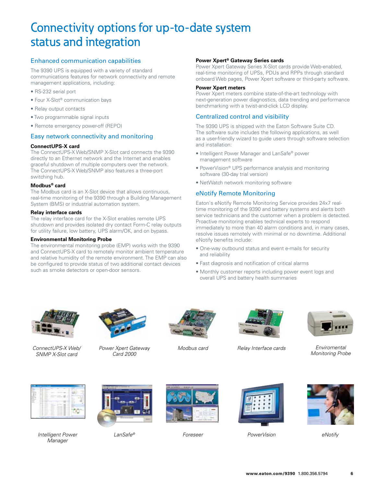### Connectivity options for up-to-date system status and integration

#### Enhanced communication capabilities

The 9390 UPS is equipped with a variety of standard communications features for network connectivity and remote management applications, including:

- RS-232 serial port
- Four X-Slot® communication bays
- Relay output contacts
- Two programmable signal inputs
- Remote emergency power-off (REPO)

#### Easy network connectivity and monitoring

#### **ConnectUPS-X card**

The ConnectUPS-X Web/SNMP X-Slot card connects the 9390 directly to an Ethernet network and the Internet and enables graceful shutdown of multiple computers over the network. The ConnectUPS-X Web/SNMP also features a three-port switching hub.

#### **Modbus® card**

The Modbus card is an X-Slot device that allows continuous, real-time monitoring of the 9390 through a Building Management System (BMS) or industrial automation system.

#### **Relay interface cards**

The relay interface card for the X-Slot enables remote UPS shutdown and provides isolated dry contact Form-C relay outputs for utility failure, low battery, UPS alarm/OK, and on bypass.

#### **Environmental Monitoring Probe**

The environmental monitoring probe (EMP) works with the 9390 and ConnectUPS-X card to remotely monitor ambient temperature and relative humidity of the remote environment. The EMP can also be configured to provide status of two additional contact devices such as smoke detectors or open-door sensors.

#### **Power Xpert® Gateway Series cards**

Power Xpert Gateway Series X-Slot cards provide Web-enabled, real-time monitoring of UPSs, PDUs and RPPs through standard onboard Web pages, Power Xpert software or third-party software.

#### **Power Xpert meters**

Power Xpert meters combine state-of-the-art technology with next-generation power diagnostics, data trending and performance benchmarking with a twist-and-click LCD display.

#### Centralized control and visibility

The 9390 UPS is shipped with the Eaton Software Suite CD. The software suite includes the following applications, as well as a user-friendly wizard to guide users through software selection and installation:

- Intelligent Power Manager and LanSafe® power management software
- PowerVision® UPS performance analysis and monitoring software (30-day trial version)
- NetWatch network monitoring software

#### eNotify Remote Monitoring

Eaton's eNotify Remote Monitoring Service provides 24x7 realtime monitoring of the 9390 and battery systems and alerts both service technicians and the customer when a problem is detected. Proactive monitoring enables technical experts to respond immediately to more than 40 alarm conditions and, in many cases, resolve issues remotely with minimal or no downtime. Additional eNotify benefits include:

- One-way outbound status and event e-mails for security and reliability
- Fast diagnosis and notification of critical alarms
- Monthly customer reports including power event logs and overall UPS and battery health summaries



*ConnectUPS-X Web/ Modbus card Relay Interface cards Power Xpert Gateway SNMP X-Slot card*



*Card 2000*







*Enviromental Monitoring Probe*



*LanSafe Foreseer ® Intelligent Power PowerVision eNotify Manager*







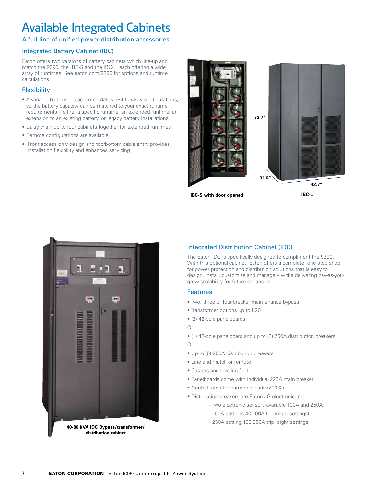## Available Integrated Cabinets

#### A full line of unified power distribution accessories

#### Integrated Battery Cabinet (IBC)

Eaton offers two versions of battery cabinets which line-up and match the 9390; the IBC-S and the IBC-L, each offering a wide array of runtimes. See eaton.com/9390 for options and runtime calculations.

#### **Flexibility**

- A variable battery bus accommodates 384 to 480V configurations, so the battery capacity can be matched to your exact runtime requirements – either a specific runtime, an extended runtime, an extension to an existing battery, or legacy battery installations
- Daisy chain up to four cabinets together for extended runtimes
- Remote configurations are available
- Front access only design and top/bottom cable entry provides installation flexibility and enhances servicing



**IBC-S with door opened**

**IBC-L**



**40-80 kVA IDC Bypass/transformer/ distribution cabinet**

#### Integrated Distribution Cabinet (IDC)

The Eaton IDC is specifically designed to compliment the 9390. With this optional cabinet, Eaton offers a complete, one-stop shop for power protection and distribution solutions that is easy to design, install, customize and manage – while delivering pay-as-yougrow scalability for future expansion.

#### **Features**

- Two, three or four-breaker maintenance bypass
- Transformer options up to K20
- (2) 42-pole panelboards

#### Or

- (1) 42-pole panelboard and up to (3) 250A distribution breakers Or
- Up to (6) 250A distribution breakers
- Line and match or remote
- Casters and leveling feet
- Panelboards come with individual 225A main breaker
- Neutral rated for harmonic loads (200%)
- Distribution breakers are Eaton JG electronic trip
	- Two electronic sensors available 100A and 250A
	- 100A settings 40-100A trip (eight settings)
	- 250A setting 100-250A trip (eight settings)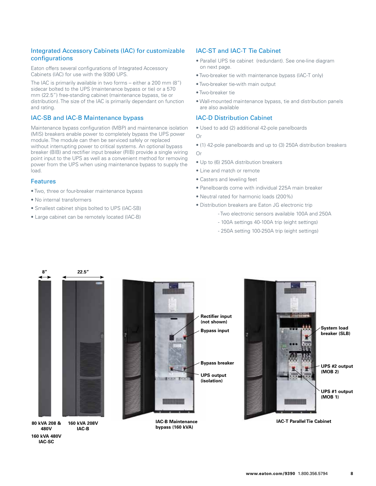#### Integrated Accessory Cabinets (IAC) for customizable configurations

Eaton offers several configurations of Integrated Accessory Cabinets (IAC) for use with the 9390 UPS.

The IAC is primarily available in two forms – either a 200 mm (8") sidecar bolted to the UPS (maintenance bypass or tie) or a 570 mm (22.5") free-standing cabinet (maintenance bypass, tie or distribution). The size of the IAC is primarily dependant on function and rating.

#### IAC-SB and IAC-B Maintenance bypass

Maintenance bypass configuration (MBP) and maintenance isolation (MIS) breakers enable power to completely bypass the UPS power module. The module can then be serviced safely or replaced without interrupting power to critical systems. An optional bypass breaker (BIB) and rectifier input breaker (RIB) provide a single wiring point input to the UPS as well as a convenient method for removing power from the UPS when using maintenance bypass to supply the load.

#### Features

**160 kVA 480V IAC-SC**

- Two, three or four-breaker maintenance bypass
- No internal transformers
- Smallest cabinet ships bolted to UPS (IAC-SB)
- Large cabinet can be remotely located (IAC-B)

#### IAC-ST and IAC-T Tie Cabinet

- Parallel UPS tie cabinet (redundant). See one-line diagram on next page.
- Two-breaker tie with maintenance bypass (IAC-T only)
- Two-breaker tie-with main output
- Two-breaker tie
- Wall-mounted maintenance bypass, tie and distribution panels are also available

#### IAC-D Distribution Cabinet

- Used to add (2) additional 42-pole panelboards Or
- (1) 42-pole panelboards and up to (3) 250A distribution breakers Or
- Up to (6) 250A distribution breakers
- Line and match or remote
- Casters and leveling feet
- Panelboards come with individual 225A main breaker
- Neutral rated for harmonic loads (200%)
- Distribution breakers are Eaton JG electronic trip
	- Two electronic sensors available 100A and 250A
	- 100A settings 40-100A trip (eight settings)
	- 250A setting 100-250A trip (eight settings)

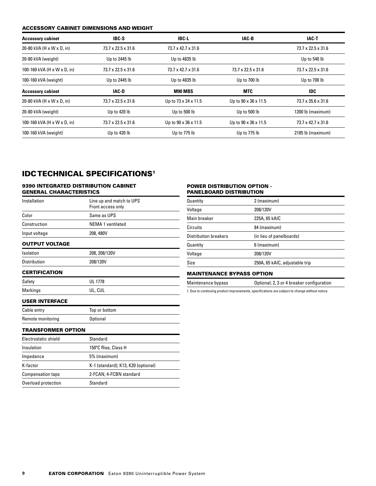#### Accessory cabinet dimensions and weight

| <b>Accessory cabinet</b>    | IBC-S                          | IBC-L                | IAC-B                          | IAC-T                          |
|-----------------------------|--------------------------------|----------------------|--------------------------------|--------------------------------|
| 20-80 kVA (H x W x D, in)   | 73.7 x 22.5 x 31.6             | 73.7 x 42.7 x 31.6   |                                | 73.7 x 22.5 x 31.6             |
| 20-80 kVA (weight)          | Up to 2445 lb                  | Up to 4835 lb        |                                | Up to 540 lb                   |
| 100-160 kVA (H x W x D, in) | $73.7 \times 22.5 \times 31.6$ | 73.7 x 42.7 x 31.6   | $73.7 \times 22.5 \times 31.6$ | $73.7 \times 22.5 \times 31.6$ |
| 100-160 kVA (weight)        | Up to 2445 lb                  | Up to 4835 lb        | Up to 700 lb                   | Up to 700 lb                   |
| <b>Accessory cabinet</b>    | IAC-D                          | M90 MBS              | <b>MTC</b>                     | IDC.                           |
| 20-80 kVA (H x W x D, in)   | 73.7 x 22.5 x 31.6             | Up to 73 x 24 x 11.5 | Up to 90 x 36 x 11.5           | $73.7 \times 35.6 \times 31.6$ |
| 20-80 kVA (weight)          | Up to 420 lb                   | Up to 500 lb         | Up to 500 lb                   | 1200 lb (maximum)              |
| 100-160 kVA (H x W x D, in) | $73.7 \times 22.5 \times 31.6$ | Up to 90 x 36 x 11.5 | Up to 90 x 36 x 11.5           | $73.7 \times 42.7 \times 31.6$ |
| 100-160 kVA (weight)        | Up to 420 lb                   | Up to 775 lb         | Up to 775 lb                   | 2185 lb (maximum)              |

### **IDC TECHNICAL SPECIFICATIONS<sup>1</sup>**

#### 9390 Integrated Distribution Cabinet General characteristics

| Installation          | Line up and match to UPS<br>Front access only |
|-----------------------|-----------------------------------------------|
| Color                 | Same as UPS                                   |
| Construction          | <b>NEMA 1 ventilated</b>                      |
| Input voltage         | 208, 480V                                     |
| <b>OUTPUT VOLTAGE</b> |                                               |
| Isolation             | 208, 208/120V                                 |
| <b>Distribution</b>   | 208/120V                                      |
| <b>CERTIFICATION</b>  |                                               |
| Safety                | <b>UL 1778</b>                                |
| Markings              | UL, CUL                                       |
| <b>USER INTERFACE</b> |                                               |
| Cable entry           | Top or bottom                                 |
| Remote monitoring     | <b>Optional</b>                               |
| TRANSFORMER OPTION    |                                               |
| Electrostatic shield  | Standard                                      |
| Insulation            | 150°C Rise, Class H                           |
| Impedance             | 5% (maximum)                                  |
| K-fartor              | K-1 (standard): K13, K20 (ontional)           |

#### POWER DISTRIBUTION OPTION -PANELBOARD DISTRIBUTION

| Quantity                     | 2 (maximum)                    |
|------------------------------|--------------------------------|
| Voltage                      | 208/120V                       |
| Main breaker                 | 225A, 65 kAIC                  |
| Circuits                     | 84 (maximum)                   |
| <b>Distribution breakers</b> | (in lieu of panelboards)       |
| Quantity                     | 6 (maximum)                    |
| Voltage                      | 208/120V                       |
| Size                         | 250A, 65 kAIC, adjustable trip |
|                              |                                |

#### Maintenance bypass option

Maintenance bypass Optional; 2, 3 or 4 breaker configuration

1. Due to continuing product improvements, specifications are subject to change without notice.

| Cable entry       | Top or bottom |
|-------------------|---------------|
| Remote monitoring | Optional      |

| Electrostatic shield     | Standard                            |  |
|--------------------------|-------------------------------------|--|
| Insulation               | 150°C Rise, Class H                 |  |
| Impedance                | 5% (maximum)                        |  |
| K-factor                 | K-1 (standard); K13, K20 (optional) |  |
| <b>Compensation taps</b> | 2-FCAN, 4-FCBN standard             |  |
| Overload protection      | Standard                            |  |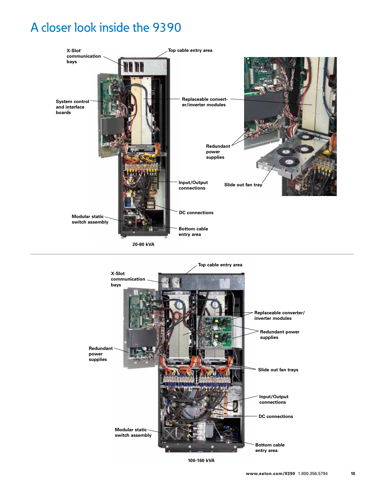### A closer look inside the 9390





**100-160 kVA**